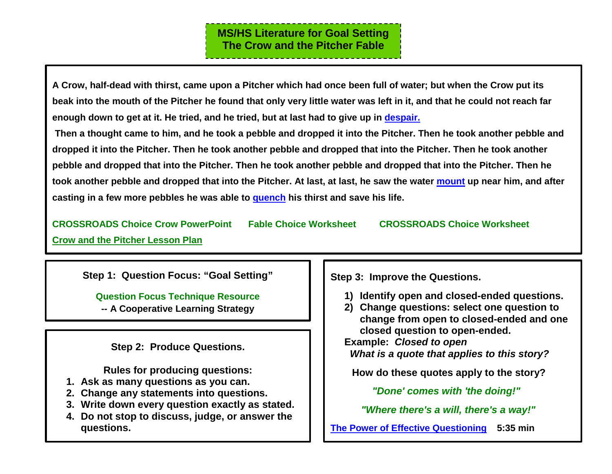**A Crow, half-dead with thirst, came upon a Pitcher which had once been full of water; but when the Crow put its beak into the mouth of the Pitcher he found that only very little water was left in it, and that he could not reach far enough down to get at it. He tried, and he tried, but at last had to give up in [despair.](https://www.merriam-webster.com/dictionary/despair)**

**Then a thought came to him, and he took a pebble and dropped it into the Pitcher. Then he took another pebble and dropped it into the Pitcher. Then he took another pebble and dropped that into the Pitcher. Then he took another pebble and dropped that into the Pitcher. Then he took another pebble and dropped that into the Pitcher. Then he took another pebble and dropped that into the Pitcher. At last, at last, he saw the water [mount](https://www.merriam-webster.com/dictionary/mount) up near him, and after casting in a few more pebbles he was able to [quench](https://www.merriam-webster.com/dictionary/quench) his thirst and save his life.** 

**CROSSROADS [Choice Crow PowerPoint](http://www.greatexpectations.org/Websites/greatexpectations/images/pdf/practice4/CROSSROADS%20II%20w%20crow%20PPT%202.pptx) [Fable Choice Worksheet](http://www.greatexpectations.org/Websites/greatexpectations/images/pdf/practice4/CROW%20GS%20simp%20CR.pdf) [CROSSROADS Choice Worksheet](http://www.greatexpectations.org/Websites/greatexpectations/images/pdf/practice4/111%20GS%20simpl%20wksht%20with%20emoji.pdf)  [Crow and the Pitcher Lesson Plan](http://artsedge.kennedy-center.org/educators/lessons/grade-3-4/Counting_Crows#Preparation)** 

**Step 1: Question Focus: "Goal Setting"**

**[Question Focus Technique Resource](http://greatexpectations.publishpath.com/Websites/greatexpectations/images/pdf/practices/goalsetting/The%20Question%20Formulation%20Technique.pdf)**

**-- A Cooperative Learning Strategy**

**Step 2: Produce Questions.**

**Rules for producing questions:**

- **1. Ask as many questions as you can.**
- **2. Change any statements into questions.**
- **3. Write down every question exactly as stated.**
- **4. Do not stop to discuss, judge, or answer the questions.**

**Step 3: Improve the Questions.**

- **1) Identify open and closed-ended questions.**
- **2) Change questions: select one question to change from open to closed-ended and one closed question to open-ended.**

**Example:** *Closed to open*

 *What is a quote that applies to this story?*

**How do these quotes apply to the story?**

 *["Done' comes with 'the doing!"](http://www.greatexpectations.org/Websites/greatexpectations/images/pdf/practice4/Done%20Comes%20quote.pdf)*

*["Where there's a will, there's a way!"](http://www.greatexpectations.org/Websites/greatexpectations/images/pdf/practice4/Where%20there)*

**[The Power of Effective Questioning](https://www.youtube.com/watch?v=1dO0dO__wmE) 5:35 min**